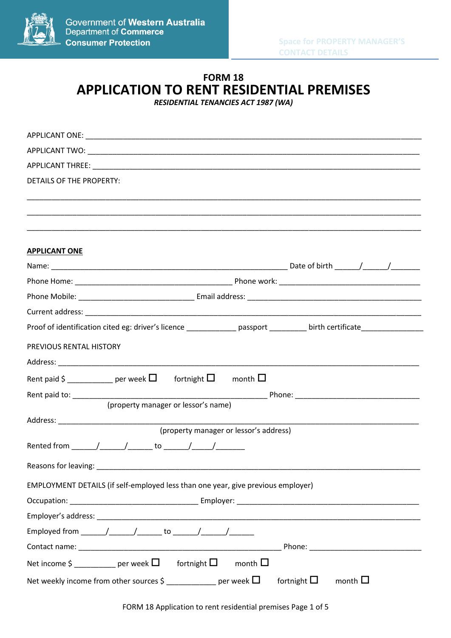

# **FORM 18 APPLICATION TO RENT RESIDENTIAL PREMISES**

*RESIDENTIAL TENANCIES ACT 1987 (WA)*

| DETAILS OF THE PROPERTY:                                                                                             |
|----------------------------------------------------------------------------------------------------------------------|
|                                                                                                                      |
|                                                                                                                      |
|                                                                                                                      |
| <b>APPLICANT ONE</b>                                                                                                 |
|                                                                                                                      |
|                                                                                                                      |
|                                                                                                                      |
|                                                                                                                      |
| Proof of identification cited eg: driver's licence ______________ passport _________ birth certificate _____________ |
| PREVIOUS RENTAL HISTORY                                                                                              |
|                                                                                                                      |
| Rent paid \$ ____________ per week $\square$ fortnight $\square$ month $\square$                                     |
|                                                                                                                      |
| (property manager or lessor's name)                                                                                  |
| (property manager or lessor's address)                                                                               |
|                                                                                                                      |
|                                                                                                                      |
|                                                                                                                      |
| EMPLOYMENT DETAILS (if self-employed less than one year, give previous employer)                                     |
|                                                                                                                      |
|                                                                                                                      |
| Employed from ______/______/_______ to ______/______/________                                                        |
|                                                                                                                      |
| Net income $\zeta$ ___________ per week $\square$ fortnight $\square$ month $\square$                                |
| fortnight $\square$<br>Net weekly income from other sources \$ ___________ per week $\Box$<br>month $\square$        |

FORM 18 Application to rent residential premises Page 1 of 5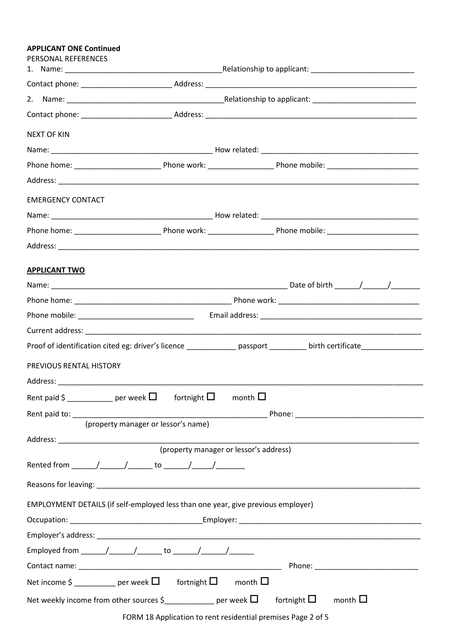### **APPLICANT ONE Continued**

| PERSONAL REFERENCES                                                                                                |                                                                                        |  |  |  |
|--------------------------------------------------------------------------------------------------------------------|----------------------------------------------------------------------------------------|--|--|--|
|                                                                                                                    |                                                                                        |  |  |  |
|                                                                                                                    |                                                                                        |  |  |  |
|                                                                                                                    |                                                                                        |  |  |  |
| <b>NEXT OF KIN</b>                                                                                                 |                                                                                        |  |  |  |
|                                                                                                                    |                                                                                        |  |  |  |
|                                                                                                                    |                                                                                        |  |  |  |
|                                                                                                                    |                                                                                        |  |  |  |
| <b>EMERGENCY CONTACT</b>                                                                                           |                                                                                        |  |  |  |
|                                                                                                                    |                                                                                        |  |  |  |
|                                                                                                                    |                                                                                        |  |  |  |
|                                                                                                                    |                                                                                        |  |  |  |
| <b>APPLICANT TWO</b>                                                                                               |                                                                                        |  |  |  |
|                                                                                                                    |                                                                                        |  |  |  |
|                                                                                                                    |                                                                                        |  |  |  |
|                                                                                                                    |                                                                                        |  |  |  |
|                                                                                                                    |                                                                                        |  |  |  |
|                                                                                                                    |                                                                                        |  |  |  |
| PREVIOUS RENTAL HISTORY                                                                                            |                                                                                        |  |  |  |
|                                                                                                                    |                                                                                        |  |  |  |
|                                                                                                                    | Rent paid \$ _____________ per week $\square$ fortnight $\square$ month $\square$      |  |  |  |
|                                                                                                                    |                                                                                        |  |  |  |
|                                                                                                                    | (property manager or lessor's name)                                                    |  |  |  |
|                                                                                                                    | (property manager or lessor's address)                                                 |  |  |  |
|                                                                                                                    |                                                                                        |  |  |  |
|                                                                                                                    |                                                                                        |  |  |  |
|                                                                                                                    | EMPLOYMENT DETAILS (if self-employed less than one year, give previous employer)       |  |  |  |
|                                                                                                                    |                                                                                        |  |  |  |
|                                                                                                                    |                                                                                        |  |  |  |
|                                                                                                                    | Employed from ________/________/ _______ to _______/ _______/ ________                 |  |  |  |
|                                                                                                                    |                                                                                        |  |  |  |
|                                                                                                                    | Net income $\zeta$ ____________ per week $\square$ fortnight $\square$ month $\square$ |  |  |  |
| Net weekly income from other sources $\zeta$ ______________ per week $\Box$<br>fortnight $\Box$<br>month $\square$ |                                                                                        |  |  |  |

FORM 18 Application to rent residential premises Page 2 of 5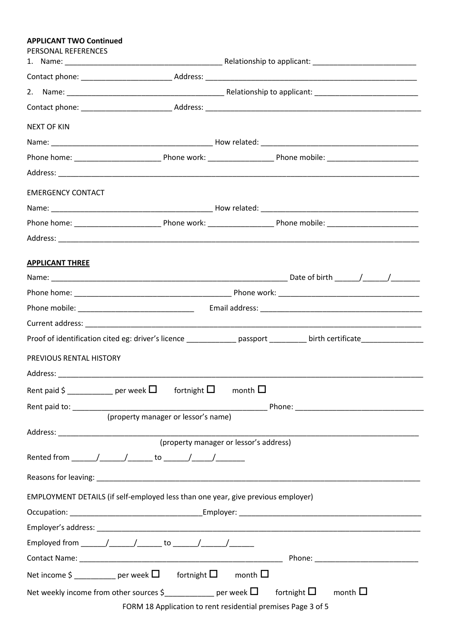#### **APPLICANT TWO Continued**

| PERSONAL REFERENCES      |                                                                                       |                                                                                                                                                                                |
|--------------------------|---------------------------------------------------------------------------------------|--------------------------------------------------------------------------------------------------------------------------------------------------------------------------------|
|                          |                                                                                       |                                                                                                                                                                                |
|                          |                                                                                       |                                                                                                                                                                                |
|                          |                                                                                       |                                                                                                                                                                                |
| <b>NEXT OF KIN</b>       |                                                                                       |                                                                                                                                                                                |
|                          |                                                                                       |                                                                                                                                                                                |
|                          |                                                                                       |                                                                                                                                                                                |
|                          |                                                                                       |                                                                                                                                                                                |
| <b>EMERGENCY CONTACT</b> |                                                                                       |                                                                                                                                                                                |
|                          |                                                                                       |                                                                                                                                                                                |
|                          |                                                                                       |                                                                                                                                                                                |
|                          |                                                                                       |                                                                                                                                                                                |
| <b>APPLICANT THREE</b>   |                                                                                       |                                                                                                                                                                                |
|                          |                                                                                       |                                                                                                                                                                                |
|                          |                                                                                       |                                                                                                                                                                                |
|                          |                                                                                       |                                                                                                                                                                                |
|                          |                                                                                       |                                                                                                                                                                                |
|                          |                                                                                       | Proof of identification cited eg: driver's licence ______________ passport _________ birth certificate______________                                                           |
| PREVIOUS RENTAL HISTORY  |                                                                                       |                                                                                                                                                                                |
|                          |                                                                                       |                                                                                                                                                                                |
|                          | Rent paid \$ ___________ per week $\Box$ fortnight $\Box$                             | month $\Box$                                                                                                                                                                   |
|                          |                                                                                       |                                                                                                                                                                                |
|                          | (property manager or lessor's name)                                                   |                                                                                                                                                                                |
|                          |                                                                                       | (property manager or lessor's address)                                                                                                                                         |
|                          |                                                                                       |                                                                                                                                                                                |
|                          |                                                                                       |                                                                                                                                                                                |
|                          | EMPLOYMENT DETAILS (if self-employed less than one year, give previous employer)      |                                                                                                                                                                                |
|                          |                                                                                       |                                                                                                                                                                                |
|                          |                                                                                       |                                                                                                                                                                                |
|                          | Employed from _______/_______/________ to _______/_______/_________                   |                                                                                                                                                                                |
|                          |                                                                                       |                                                                                                                                                                                |
|                          | Net income $\zeta$ ___________ per week $\square$ fortnight $\square$ month $\square$ |                                                                                                                                                                                |
|                          |                                                                                       | Net weekly income from other sources $\zeta$ example of per week $\square$ fortnight $\square$ month $\square$<br>FORM 18 Application to rent residential premises Page 3 of 5 |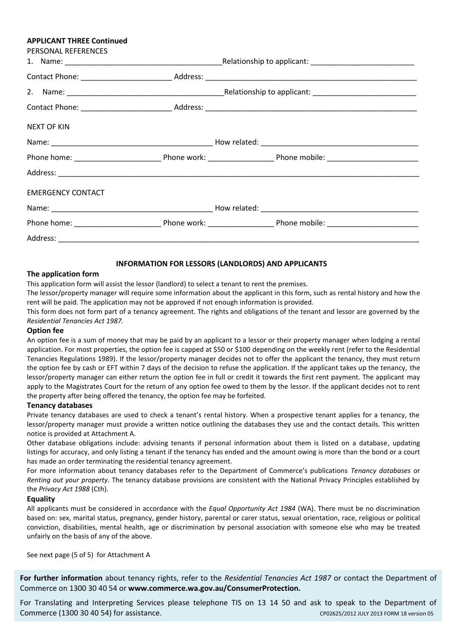#### **APPLICANT THREE Continued**

| PERSONAL REFERENCES      |  |
|--------------------------|--|
|                          |  |
|                          |  |
|                          |  |
|                          |  |
| NEXT OF KIN              |  |
|                          |  |
|                          |  |
|                          |  |
| <b>EMERGENCY CONTACT</b> |  |
|                          |  |
|                          |  |
|                          |  |

#### **INFORMATION FOR LESSORS (LANDLORDS) AND APPLICANTS**

#### **The application form**

This application form will assist the lessor (landlord) to select a tenant to rent the premises.

The lessor/property manager will require some information about the applicant in this form, such as rental history and how the rent will be paid. The application may not be approved if not enough information is provided.

This form does not form part of a tenancy agreement. The rights and obligations of the tenant and lessor are governed by the *Residential Tenancies Act 1987.*

#### **Option fee**

An option fee is a sum of money that may be paid by an applicant to a lessor or their property manager when lodging a rental application. For most properties, the option fee is capped at \$50 or \$100 depending on the weekly rent (refer to the Residential Tenancies Regulations 1989). If the lessor/property manager decides not to offer the applicant the tenancy, they must return the option fee by cash or EFT within 7 days of the decision to refuse the application. If the applicant takes up the tenancy, the lessor/property manager can either return the option fee in full or credit it towards the first rent payment. The applicant may apply to the Magistrates Court for the return of any option fee owed to them by the lessor. If the applicant decides not to rent the property after being offered the tenancy, the option fee may be forfeited.

#### **Tenancy databases**

Private tenancy databases are used to check a tenant's rental history. When a prospective tenant applies for a tenancy, the lessor/property manager must provide a written notice outlining the databases they use and the contact details. This written notice is provided at Attachment A.

Other database obligations include: advising tenants if personal information about them is listed on a database, updating listings for accuracy, and only listing a tenant if the tenancy has ended and the amount owing is more than the bond or a court has made an order terminating the residential tenancy agreement.

For more information about tenancy databases refer to the Department of Commerce's publications *Tenancy databases* or *Renting out your property*. The tenancy database provisions are consistent with the National Privacy Principles established by the *Privacy Act 1988* (Cth).

#### **Equality**

All applicants must be considered in accordance with the *Equal Opportunity Act 1984* (WA). There must be no discrimination based on: sex, marital status, pregnancy, gender history, parental or carer status, sexual orientation, race, religious or political conviction, disabilities, mental health, age or discrimination by personal association with someone else who may be treated unfairly on the basis of any of the above.

See next page (5 of 5) for Attachment A

**For further information** about tenancy rights, refer to the *Residential Tenancies Act 1987* or contact the Department of Commerce on 1300 30 40 54 or **www.commerce.wa.gov.au/ConsumerProtection.** 

For Translating and Interpreting Services please telephone TIS on 13 14 50 and ask to speak to the Department of Commerce (1300 30 40 54) for assistance. CP02625/2012 JULY 2013 FORM 18 version 05